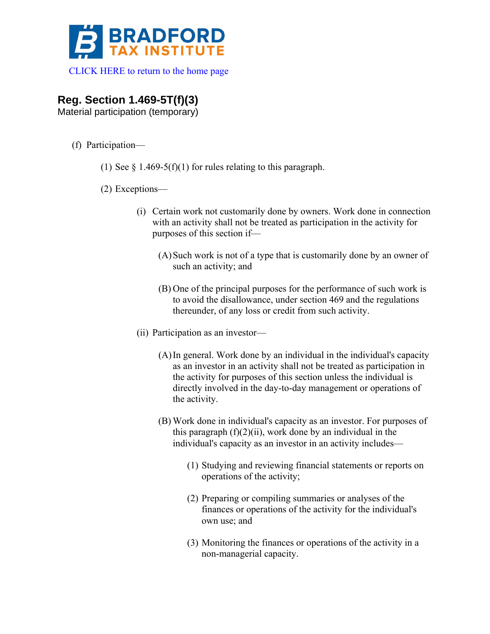

 [CLICK HERE to return to the home page](http://www.bradfordtaxinstitute.com/) 

## **Reg. Section 1.469-5T(f)(3)**

Material participation (temporary)

- (f) Participation—
	- (1) See  $\S$  1.469-5(f)(1) for rules relating to this paragraph.
	- (2) Exceptions—
		- (i) Certain work not customarily done by owners. Work done in connection with an activity shall not be treated as participation in the activity for purposes of this section if—
			- (A)Such work is not of a type that is customarily done by an owner of such an activity; and
			- (B) One of the principal purposes for the performance of such work is to avoid the disallowance, under section 469 and the regulations thereunder, of any loss or credit from such activity.
		- (ii) Participation as an investor—
			- (A)In general. Work done by an individual in the individual's capacity as an investor in an activity shall not be treated as participation in the activity for purposes of this section unless the individual is directly involved in the day-to-day management or operations of the activity.
			- (B) Work done in individual's capacity as an investor. For purposes of this paragraph  $(f)(2)(ii)$ , work done by an individual in the individual's capacity as an investor in an activity includes—
				- (1) Studying and reviewing financial statements or reports on operations of the activity;
				- (2) Preparing or compiling summaries or analyses of the finances or operations of the activity for the individual's own use; and
				- (3) Monitoring the finances or operations of the activity in a non-managerial capacity.